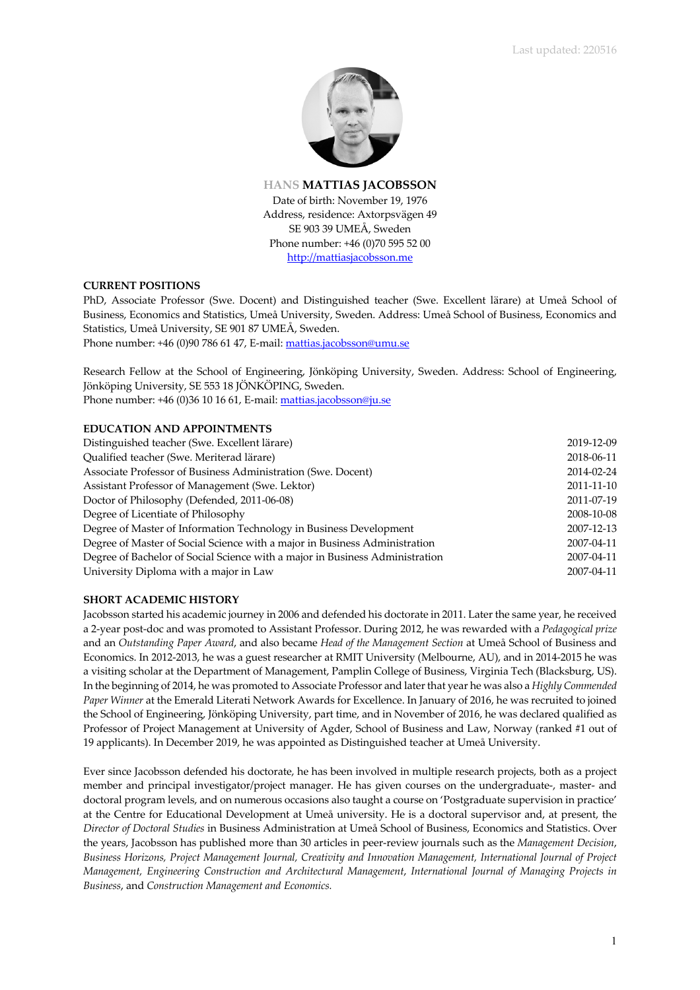

**HANS MATTIAS JACOBSSON** Date of birth: November 19, 1976 Address, residence: Axtorpsvägen 49 SE 903 39 UMEÅ, Sweden Phone number: +46 (0)70 595 52 00 http://mattiasjacobsson.me

# **CURRENT POSITIONS**

PhD, Associate Professor (Swe. Docent) and Distinguished teacher (Swe. Excellent lärare) at Umeå School of Business, Economics and Statistics, Umeå University, Sweden. Address: Umeå School of Business, Economics and Statistics, Umeå University, SE 901 87 UMEÅ, Sweden.

Phone number: +46 (0)90 786 61 47, E-mail: mattias.jacobsson@umu.se

Research Fellow at the School of Engineering, Jönköping University, Sweden. Address: School of Engineering, Jönköping University, SE 553 18 JÖNKÖPING, Sweden. Phone number: +46 (0)36 10 16 61, E-mail: mattias.jacobsson@ju.se

# **EDUCATION AND APPOINTMENTS**

| Distinguished teacher (Swe. Excellent lärare)                                | 2019-12-09 |
|------------------------------------------------------------------------------|------------|
| Oualified teacher (Swe. Meriterad lärare)                                    | 2018-06-11 |
| Associate Professor of Business Administration (Swe. Docent)                 | 2014-02-24 |
| Assistant Professor of Management (Swe. Lektor)                              | 2011-11-10 |
| Doctor of Philosophy (Defended, 2011-06-08)                                  | 2011-07-19 |
| Degree of Licentiate of Philosophy                                           | 2008-10-08 |
| Degree of Master of Information Technology in Business Development           | 2007-12-13 |
| Degree of Master of Social Science with a major in Business Administration   | 2007-04-11 |
| Degree of Bachelor of Social Science with a major in Business Administration | 2007-04-11 |
| University Diploma with a major in Law                                       | 2007-04-11 |

# **SHORT ACADEMIC HISTORY**

Jacobsson started his academic journey in 2006 and defended his doctorate in 2011. Later the same year, he received a 2-year post-doc and was promoted to Assistant Professor. During 2012, he was rewarded with a *Pedagogical prize* and an *Outstanding Paper Award*, and also became *Head of the Management Section* at Umeå School of Business and Economics. In 2012-2013, he was a guest researcher at RMIT University (Melbourne, AU), and in 2014-2015 he was a visiting scholar at the Department of Management, Pamplin College of Business, Virginia Tech (Blacksburg, US). In the beginning of 2014, he was promoted to Associate Professor and later that year he was also a *Highly Commended Paper Winner* at the Emerald Literati Network Awards for Excellence. In January of 2016, he was recruited to joined the School of Engineering, Jönköping University, part time, and in November of 2016, he was declared qualified as Professor of Project Management at University of Agder, School of Business and Law, Norway (ranked #1 out of 19 applicants). In December 2019, he was appointed as Distinguished teacher at Umeå University.

Ever since Jacobsson defended his doctorate, he has been involved in multiple research projects, both as a project member and principal investigator/project manager. He has given courses on the undergraduate-, master- and doctoral program levels, and on numerous occasions also taught a course on 'Postgraduate supervision in practice' at the Centre for Educational Development at Umeå university. He is a doctoral supervisor and, at present, the *Director of Doctoral Studies* in Business Administration at Umeå School of Business, Economics and Statistics. Over the years, Jacobsson has published more than 30 articles in peer-review journals such as the *Management Decision*, *Business Horizons, Project Management Journal, Creativity and Innovation Management, International Journal of Project Management, Engineering Construction and Architectural Management*, *International Journal of Managing Projects in Business*, and *Construction Management and Economics.*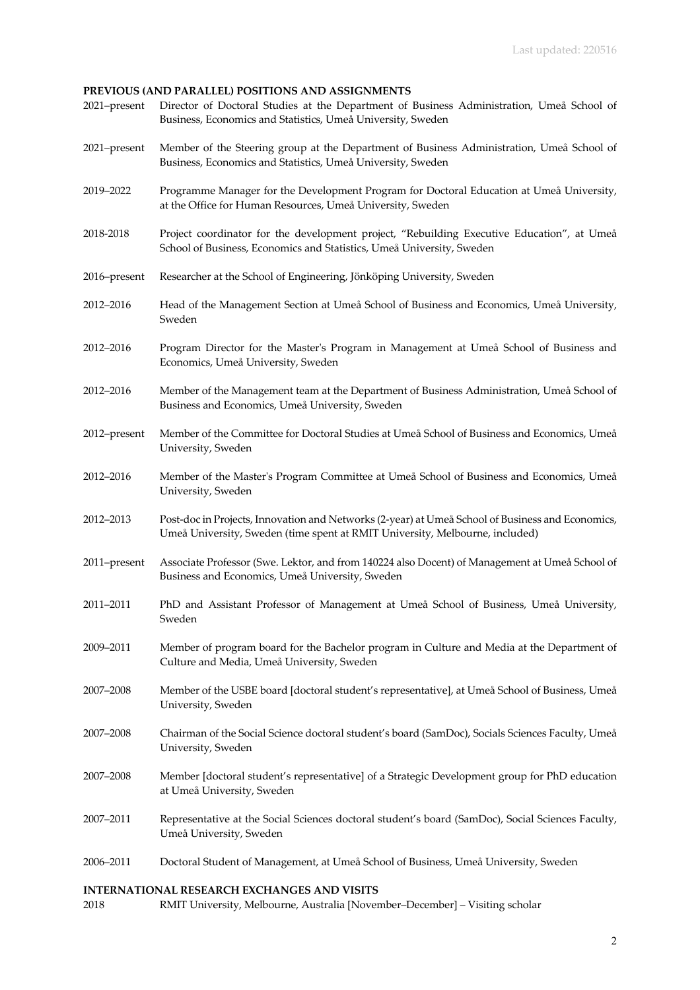# **PREVIOUS (AND PARALLEL) POSITIONS AND ASSIGNMENTS**

| 2021-present | Director of Doctoral Studies at the Department of Business Administration, Umeå School of<br>Business, Economics and Statistics, Umeå University, Sweden                         |
|--------------|----------------------------------------------------------------------------------------------------------------------------------------------------------------------------------|
| 2021-present | Member of the Steering group at the Department of Business Administration, Umeå School of<br>Business, Economics and Statistics, Umeå University, Sweden                         |
| 2019-2022    | Programme Manager for the Development Program for Doctoral Education at Umeå University,<br>at the Office for Human Resources, Umeå University, Sweden                           |
| 2018-2018    | Project coordinator for the development project, "Rebuilding Executive Education", at Umeå<br>School of Business, Economics and Statistics, Umeå University, Sweden              |
| 2016-present | Researcher at the School of Engineering, Jönköping University, Sweden                                                                                                            |
| 2012-2016    | Head of the Management Section at Umeå School of Business and Economics, Umeå University,<br>Sweden                                                                              |
| 2012-2016    | Program Director for the Master's Program in Management at Umeå School of Business and<br>Economics, Umeå University, Sweden                                                     |
| 2012-2016    | Member of the Management team at the Department of Business Administration, Umeå School of<br>Business and Economics, Umeå University, Sweden                                    |
| 2012-present | Member of the Committee for Doctoral Studies at Umeå School of Business and Economics, Umeå<br>University, Sweden                                                                |
| 2012-2016    | Member of the Master's Program Committee at Umeå School of Business and Economics, Umeå<br>University, Sweden                                                                    |
| 2012-2013    | Post-doc in Projects, Innovation and Networks (2-year) at Umeå School of Business and Economics,<br>Umeå University, Sweden (time spent at RMIT University, Melbourne, included) |
| 2011-present | Associate Professor (Swe. Lektor, and from 140224 also Docent) of Management at Umeå School of<br>Business and Economics, Umeå University, Sweden                                |
| 2011-2011    | PhD and Assistant Professor of Management at Umeå School of Business, Umeå University,<br>Sweden                                                                                 |
| 2009-2011    | Member of program board for the Bachelor program in Culture and Media at the Department of<br>Culture and Media, Umeå University, Sweden                                         |
| 2007-2008    | Member of the USBE board [doctoral student's representative], at Umeå School of Business, Umeå<br>University, Sweden                                                             |
| 2007-2008    | Chairman of the Social Science doctoral student's board (SamDoc), Socials Sciences Faculty, Umeå<br>University, Sweden                                                           |
| 2007-2008    | Member [doctoral student's representative] of a Strategic Development group for PhD education<br>at Umeå University, Sweden                                                      |
| 2007-2011    | Representative at the Social Sciences doctoral student's board (SamDoc), Social Sciences Faculty,<br>Umeå University, Sweden                                                     |
| 2006-2011    | Doctoral Student of Management, at Umeå School of Business, Umeå University, Sweden                                                                                              |

# **INTERNATIONAL RESEARCH EXCHANGES AND VISITS**

2018 RMIT University, Melbourne, Australia [November–December] – Visiting scholar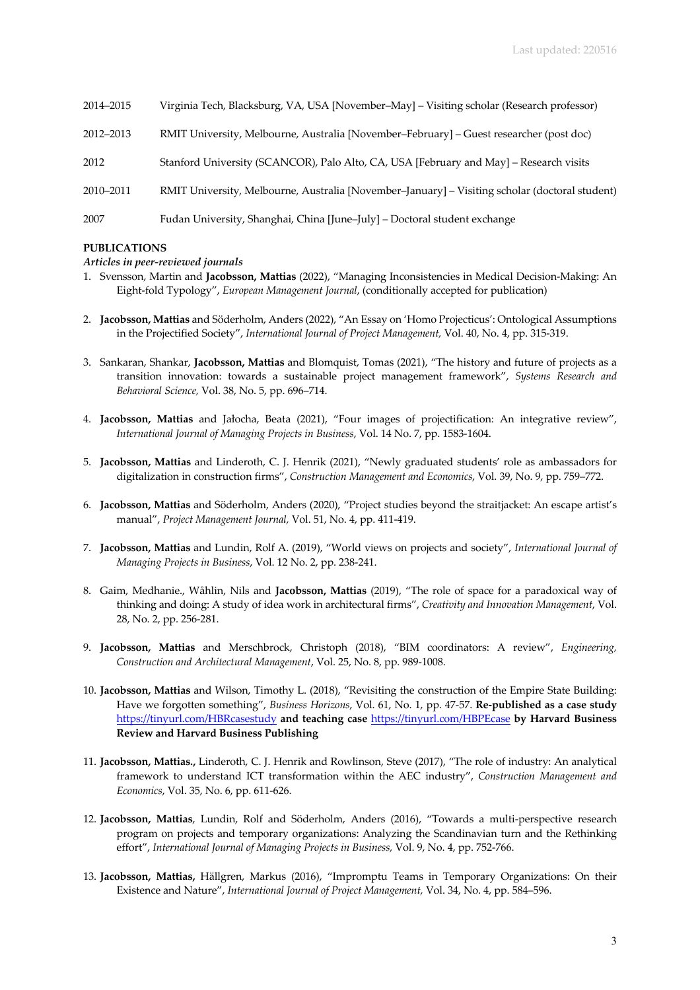| 2014-2015 | Virginia Tech, Blacksburg, VA, USA [November-May] - Visiting scholar (Research professor)      |
|-----------|------------------------------------------------------------------------------------------------|
| 2012-2013 | RMIT University, Melbourne, Australia [November-February] - Guest researcher (post doc)        |
| 2012      | Stanford University (SCANCOR), Palo Alto, CA, USA [February and May] – Research visits         |
| 2010-2011 | RMIT University, Melbourne, Australia [November-January] - Visiting scholar (doctoral student) |
| 2007      | Fudan University, Shanghai, China [June-July] - Doctoral student exchange                      |

# **PUBLICATIONS**

# *Articles in peer-reviewed journals*

- 1. Svensson, Martin and **Jacobsson, Mattias** (2022), "Managing Inconsistencies in Medical Decision-Making: An Eight-fold Typology", *European Management Journal*, (conditionally accepted for publication)
- 2. **Jacobsson, Mattias** and Söderholm, Anders (2022), "An Essay on 'Homo Projecticus': Ontological Assumptions in the Projectified Society", *International Journal of Project Management,* Vol. 40, No. 4, pp. 315-319.
- 3. Sankaran, Shankar, **Jacobsson, Mattias** and Blomquist, Tomas (2021), "The history and future of projects as a transition innovation: towards a sustainable project management framework", *Systems Research and Behavioral Science,* Vol. 38, No. 5, pp. 696–714.
- 4. **Jacobsson, Mattias** and Jałocha, Beata (2021), "Four images of projectification: An integrative review", *International Journal of Managing Projects in Business*, Vol. 14 No. 7, pp. 1583-1604.
- 5. **Jacobsson, Mattias** and Linderoth, C. J. Henrik (2021), "Newly graduated students' role as ambassadors for digitalization in construction firms", *Construction Management and Economics*, Vol. 39, No. 9, pp. 759–772.
- 6. **Jacobsson, Mattias** and Söderholm, Anders (2020), "Project studies beyond the straitjacket: An escape artist's manual", *Project Management Journal,* Vol. 51, No. 4, pp. 411-419.
- 7. **Jacobsson, Mattias** and Lundin, Rolf A. (2019), "World views on projects and society", *International Journal of Managing Projects in Business*, Vol. 12 No. 2, pp. 238-241.
- 8. Gaim, Medhanie., Wåhlin, Nils and **Jacobsson, Mattias** (2019), "The role of space for a paradoxical way of thinking and doing: A study of idea work in architectural firms", *Creativity and Innovation Management*, Vol. 28, No. 2, pp. 256-281.
- 9. **Jacobsson, Mattias** and Merschbrock, Christoph (2018), "BIM coordinators: A review", *Engineering, Construction and Architectural Management*, Vol. 25, No. 8, pp. 989-1008.
- 10. **Jacobsson, Mattias** and Wilson, Timothy L. (2018), "Revisiting the construction of the Empire State Building: Have we forgotten something", *Business Horizons*, Vol. 61, No. 1, pp. 47-57. **Re-published as a case study**  https://tinyurl.com/HBRcasestudy **and teaching case** https://tinyurl.com/HBPEcase **by Harvard Business Review and Harvard Business Publishing**
- 11. **Jacobsson, Mattias.,** Linderoth, C. J. Henrik and Rowlinson, Steve (2017), "The role of industry: An analytical framework to understand ICT transformation within the AEC industry", *Construction Management and Economics*, Vol. 35, No. 6, pp. 611-626.
- 12. **Jacobsson, Mattias**, Lundin, Rolf and Söderholm, Anders (2016), "Towards a multi-perspective research program on projects and temporary organizations: Analyzing the Scandinavian turn and the Rethinking effort", *International Journal of Managing Projects in Business,* Vol. 9, No. 4, pp. 752-766.
- 13. **Jacobsson, Mattias,** Hällgren, Markus (2016), "Impromptu Teams in Temporary Organizations: On their Existence and Nature", *International Journal of Project Management,* Vol. 34, No. 4, pp. 584–596.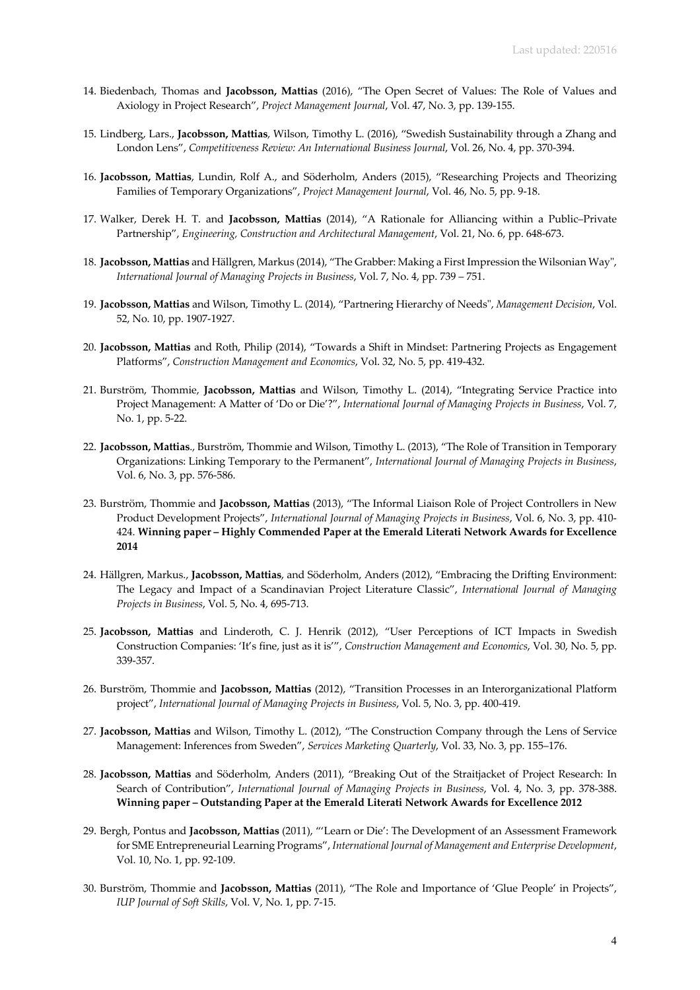- 14. Biedenbach, Thomas and **Jacobsson, Mattias** (2016), "The Open Secret of Values: The Role of Values and Axiology in Project Research", *Project Management Journal*, Vol. 47, No. 3, pp. 139-155.
- 15. Lindberg, Lars., **Jacobsson, Mattias**, Wilson, Timothy L. (2016), "Swedish Sustainability through a Zhang and London Lens", *Competitiveness Review: An International Business Journal*, Vol. 26, No. 4, pp. 370-394.
- 16. **Jacobsson, Mattias**, Lundin, Rolf A., and Söderholm, Anders (2015), "Researching Projects and Theorizing Families of Temporary Organizations", *Project Management Journal*, Vol. 46, No. 5, pp. 9-18.
- 17. Walker, Derek H. T. and **Jacobsson, Mattias** (2014), "A Rationale for Alliancing within a Public–Private Partnership", *Engineering, Construction and Architectural Management*, Vol. 21, No. 6, pp. 648-673.
- 18. **Jacobsson, Mattias** and Hällgren, Markus (2014), "The Grabber: Making a First Impression the Wilsonian Way", *International Journal of Managing Projects in Business*, Vol. 7, No. 4, pp. 739 – 751.
- 19. **Jacobsson, Mattias** and Wilson, Timothy L. (2014), "Partnering Hierarchy of Needs", *Management Decision*, Vol. 52, No. 10, pp. 1907-1927.
- 20. **Jacobsson, Mattias** and Roth, Philip (2014), "Towards a Shift in Mindset: Partnering Projects as Engagement Platforms", *Construction Management and Economics*, Vol. 32, No. 5, pp. 419-432.
- 21. Burström, Thommie, **Jacobsson, Mattias** and Wilson, Timothy L. (2014), "Integrating Service Practice into Project Management: A Matter of 'Do or Die'?", *International Journal of Managing Projects in Business*, Vol. 7, No. 1, pp. 5-22.
- 22. **Jacobsson, Mattias**., Burström, Thommie and Wilson, Timothy L. (2013), "The Role of Transition in Temporary Organizations: Linking Temporary to the Permanent", *International Journal of Managing Projects in Business*, Vol. 6, No. 3, pp. 576-586.
- 23. Burström, Thommie and **Jacobsson, Mattias** (2013), "The Informal Liaison Role of Project Controllers in New Product Development Projects", *International Journal of Managing Projects in Business*, Vol. 6, No. 3, pp. 410- 424. **Winning paper – Highly Commended Paper at the Emerald Literati Network Awards for Excellence 2014**
- 24. Hällgren, Markus., **Jacobsson, Mattias**, and Söderholm, Anders (2012), "Embracing the Drifting Environment: The Legacy and Impact of a Scandinavian Project Literature Classic", *International Journal of Managing Projects in Business*, Vol. 5, No. 4, 695-713.
- 25. **Jacobsson, Mattias** and Linderoth, C. J. Henrik (2012), "User Perceptions of ICT Impacts in Swedish Construction Companies: 'It's fine, just as it is'", *Construction Management and Economics*, Vol. 30, No. 5, pp. 339-357.
- 26. Burström, Thommie and **Jacobsson, Mattias** (2012), "Transition Processes in an Interorganizational Platform project", *International Journal of Managing Projects in Business*, Vol. 5, No. 3, pp. 400-419.
- 27. **Jacobsson, Mattias** and Wilson, Timothy L. (2012), "The Construction Company through the Lens of Service Management: Inferences from Sweden", *Services Marketing Quarterly*, Vol. 33, No. 3, pp. 155–176.
- 28. **Jacobsson, Mattias** and Söderholm, Anders (2011), "Breaking Out of the Straitjacket of Project Research: In Search of Contribution", *International Journal of Managing Projects in Business*, Vol. 4, No. 3, pp. 378-388. **Winning paper – Outstanding Paper at the Emerald Literati Network Awards for Excellence 2012**
- 29. Bergh, Pontus and **Jacobsson, Mattias** (2011), "'Learn or Die': The Development of an Assessment Framework for SME Entrepreneurial Learning Programs", *International Journal of Management and Enterprise Development*, Vol. 10, No. 1, pp. 92-109.
- 30. Burström, Thommie and **Jacobsson, Mattias** (2011), "The Role and Importance of 'Glue People' in Projects", *IUP Journal of Soft Skills*, Vol. V, No. 1, pp. 7-15.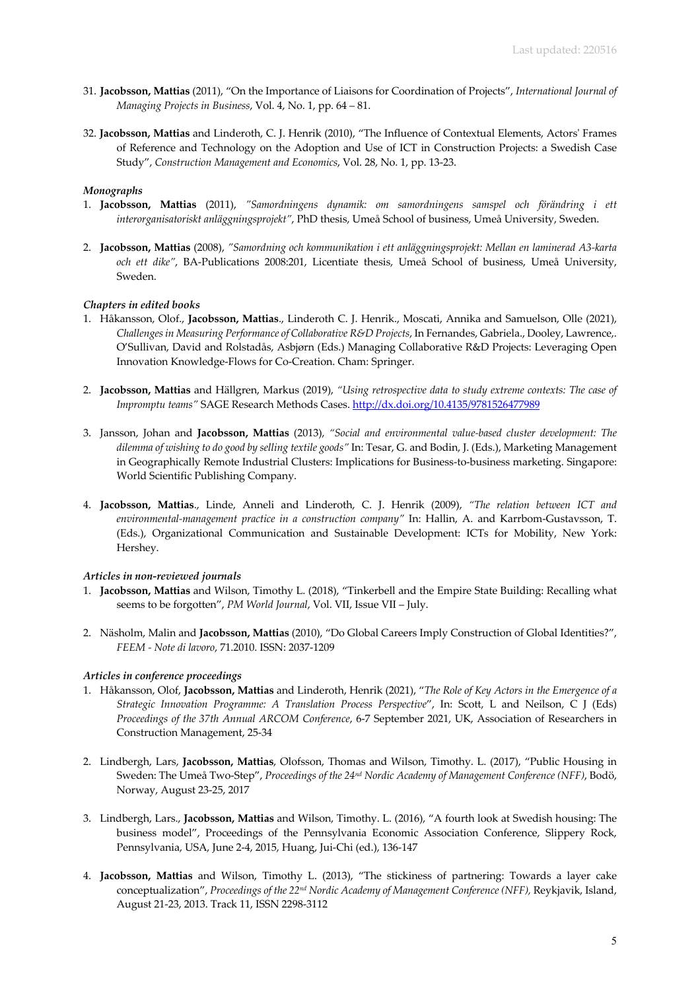- 31. **Jacobsson, Mattias** (2011), "On the Importance of Liaisons for Coordination of Projects", *International Journal of Managing Projects in Business*, Vol. 4, No. 1, pp. 64 – 81.
- 32. **Jacobsson, Mattias** and Linderoth, C. J. Henrik (2010), "The Influence of Contextual Elements, Actors' Frames of Reference and Technology on the Adoption and Use of ICT in Construction Projects: a Swedish Case Study", *Construction Management and Economics*, Vol. 28, No. 1, pp. 13-23.

# *Monographs*

- 1. **Jacobsson, Mattias** (2011), *"Samordningens dynamik: om samordningens samspel och förändring i ett interorganisatoriskt anläggningsprojekt"*, PhD thesis, Umeå School of business, Umeå University, Sweden.
- 2. **Jacobsson, Mattias** (2008), *"Samordning och kommunikation i ett anläggningsprojekt: Mellan en laminerad A3-karta och ett dike"*, BA-Publications 2008:201, Licentiate thesis, Umeå School of business, Umeå University, Sweden.

## *Chapters in edited books*

- 1. Håkansson, Olof., **Jacobsson, Mattias**., Linderoth C. J. Henrik., Moscati, Annika and Samuelson, Olle (2021), *Challenges in Measuring Performance of Collaborative R&D Projects*, In Fernandes, Gabriela., Dooley, Lawrence,. O'Sullivan, David and Rolstadås, Asbjørn (Eds.) Managing Collaborative R&D Projects: Leveraging Open Innovation Knowledge-Flows for Co-Creation. Cham: Springer.
- 2. **Jacobsson, Mattias** and Hällgren, Markus (2019), *"Using retrospective data to study extreme contexts: The case of Impromptu teams"* SAGE Research Methods Cases. http://dx.doi.org/10.4135/9781526477989
- 3. Jansson, Johan and **Jacobsson, Mattias** (2013), *"Social and environmental value-based cluster development: The dilemma of wishing to do good by selling textile goods"* In: Tesar, G. and Bodin, J. (Eds.), Marketing Management in Geographically Remote Industrial Clusters: Implications for Business-to-business marketing. Singapore: World Scientific Publishing Company.
- 4. **Jacobsson, Mattias**., Linde, Anneli and Linderoth, C. J. Henrik (2009), *"The relation between ICT and environmental-management practice in a construction company"* In: Hallin, A. and Karrbom-Gustavsson, T. (Eds.), Organizational Communication and Sustainable Development: ICTs for Mobility, New York: Hershey.

#### *Articles in non-reviewed journals*

- 1. **Jacobsson, Mattias** and Wilson, Timothy L. (2018), "Tinkerbell and the Empire State Building: Recalling what seems to be forgotten", *PM World Journal*, Vol. VII, Issue VII – July.
- 2. Näsholm, Malin and **Jacobsson, Mattias** (2010), "Do Global Careers Imply Construction of Global Identities?", *FEEM - Note di lavoro*, 71.2010. ISSN: 2037-1209

#### *Articles in conference proceedings*

- 1. Håkansson, Olof, **Jacobsson, Mattias** and Linderoth, Henrik (2021), "*The Role of Key Actors in the Emergence of a Strategic Innovation Programme: A Translation Process Perspective*", In: Scott, L and Neilson, C J (Eds) *Proceedings of the 37th Annual ARCOM Conference*, 6-7 September 2021, UK, Association of Researchers in Construction Management, 25-34
- 2. Lindbergh, Lars, **Jacobsson, Mattias**, Olofsson, Thomas and Wilson, Timothy. L. (2017), "Public Housing in Sweden: The Umeå Two-Step", *Proceedings of the 24nd Nordic Academy of Management Conference (NFF)*, Bodö, Norway, August 23-25, 2017
- 3. Lindbergh, Lars., **Jacobsson, Mattias** and Wilson, Timothy. L. (2016), "A fourth look at Swedish housing: The business model", Proceedings of the Pennsylvania Economic Association Conference, Slippery Rock, Pennsylvania, USA, June 2-4, 2015, Huang, Jui-Chi (ed.), 136-147
- 4. **Jacobsson, Mattias** and Wilson, Timothy L. (2013), "The stickiness of partnering: Towards a layer cake conceptualization", *Proceedings of the 22nd Nordic Academy of Management Conference (NFF),* Reykjavik, Island, August 21-23, 2013. Track 11, ISSN 2298-3112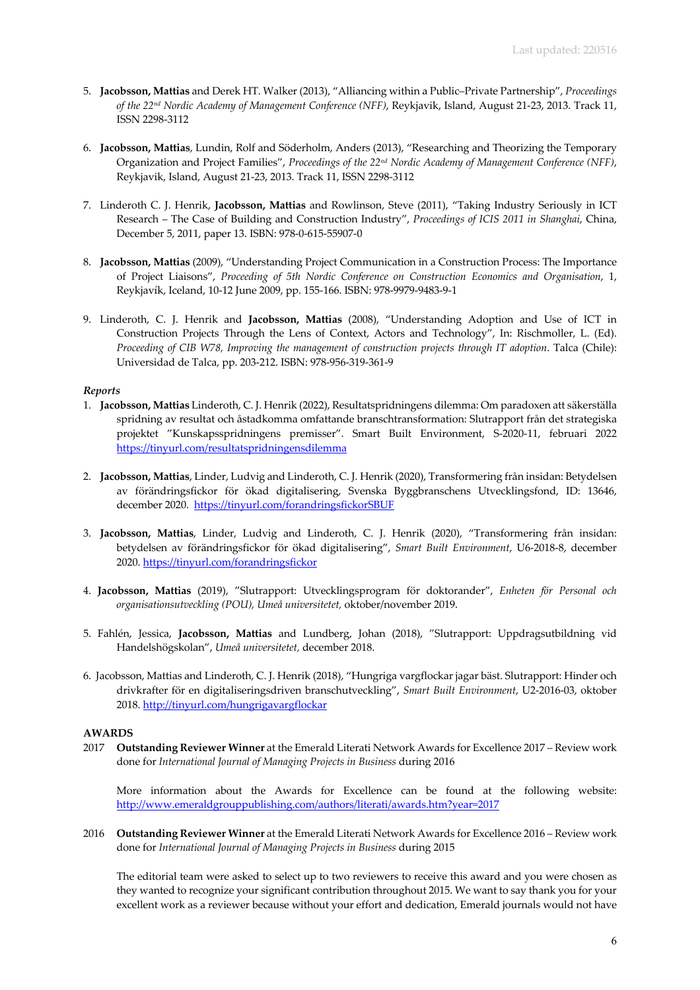- 5. **Jacobsson, Mattias** and Derek HT. Walker (2013), "Alliancing within a Public–Private Partnership", *Proceedings of the 22nd Nordic Academy of Management Conference (NFF)*, Reykjavik, Island, August 21-23, 2013. Track 11, ISSN 2298-3112
- 6. **Jacobsson, Mattias**, Lundin, Rolf and Söderholm, Anders (2013), "Researching and Theorizing the Temporary Organization and Project Families", *Proceedings of the 22nd Nordic Academy of Management Conference (NFF)*, Reykjavik, Island, August 21-23, 2013. Track 11, ISSN 2298-3112
- 7. Linderoth C. J. Henrik, **Jacobsson, Mattias** and Rowlinson, Steve (2011), "Taking Industry Seriously in ICT Research – The Case of Building and Construction Industry", *Proceedings of ICIS 2011 in Shanghai*, China, December 5, 2011, paper 13. ISBN: 978-0-615-55907-0
- 8. **Jacobsson, Mattias** (2009), "Understanding Project Communication in a Construction Process: The Importance of Project Liaisons", *Proceeding of 5th Nordic Conference on Construction Economics and Organisation*, 1, Reykjavík, Iceland, 10-12 June 2009, pp. 155-166. ISBN: 978-9979-9483-9-1
- 9. Linderoth, C. J. Henrik and **Jacobsson, Mattias** (2008), "Understanding Adoption and Use of ICT in Construction Projects Through the Lens of Context, Actors and Technology", In: Rischmoller, L. (Ed). *Proceeding of CIB W78, Improving the management of construction projects through IT adoption*. Talca (Chile): Universidad de Talca, pp. 203-212. ISBN: 978-956-319-361-9

# *Reports*

- 1. **Jacobsson, Mattias** Linderoth, C. J. Henrik (2022), Resultatspridningens dilemma: Om paradoxen att säkerställa spridning av resultat och åstadkomma omfattande branschtransformation: Slutrapport från det strategiska projektet "Kunskapsspridningens premisser". Smart Built Environment, S-2020-11, februari 2022 https://tinyurl.com/resultatspridningensdilemma
- 2. **Jacobsson, Mattias**, Linder, Ludvig and Linderoth, C. J. Henrik (2020), Transformering från insidan: Betydelsen av förändringsfickor för ökad digitalisering, Svenska Byggbranschens Utvecklingsfond, ID: 13646, december 2020. https://tinyurl.com/forandringsfickorSBUF
- 3. **Jacobsson, Mattias**, Linder, Ludvig and Linderoth, C. J. Henrik (2020), "Transformering från insidan: betydelsen av förändringsfickor för ökad digitalisering", *Smart Built Environment*, U6-2018-8, december 2020. https://tinyurl.com/forandringsfickor
- 4. **Jacobsson, Mattias** (2019), "Slutrapport: Utvecklingsprogram för doktorander", *Enheten för Personal och organisationsutveckling (POU), Umeå universitetet,* oktober/november 2019.
- 5. Fahlén, Jessica, **Jacobsson, Mattias** and Lundberg, Johan (2018), "Slutrapport: Uppdragsutbildning vid Handelshögskolan", *Umeå universitetet,* december 2018.
- 6. Jacobsson, Mattias and Linderoth, C. J. Henrik (2018), "Hungriga vargflockar jagar bäst. Slutrapport: Hinder och drivkrafter för en digitaliseringsdriven branschutveckling", *Smart Built Environment*, U2-2016-03, oktober 2018. http://tinyurl.com/hungrigavargflockar

#### **AWARDS**

2017 **Outstanding Reviewer Winner** at the Emerald Literati Network Awards for Excellence 2017 – Review work done for *International Journal of Managing Projects in Business* during 2016

More information about the Awards for Excellence can be found at the following website: http://www.emeraldgrouppublishing.com/authors/literati/awards.htm?year=2017

2016 **Outstanding Reviewer Winner** at the Emerald Literati Network Awards for Excellence 2016 – Review work done for *International Journal of Managing Projects in Business* during 2015

The editorial team were asked to select up to two reviewers to receive this award and you were chosen as they wanted to recognize your significant contribution throughout 2015. We want to say thank you for your excellent work as a reviewer because without your effort and dedication, Emerald journals would not have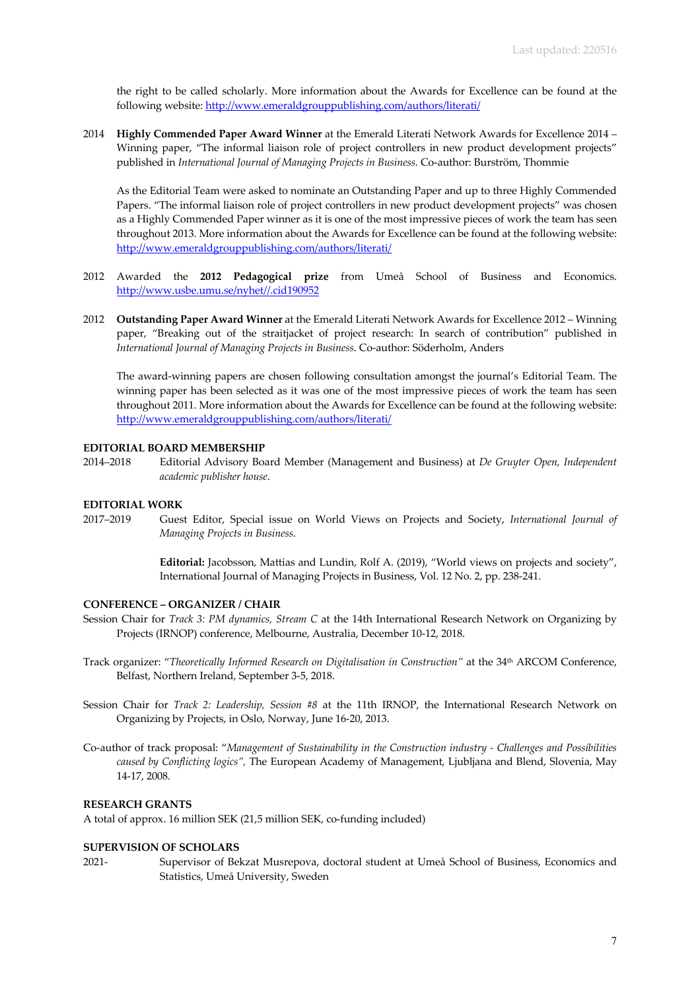the right to be called scholarly. More information about the Awards for Excellence can be found at the following website: http://www.emeraldgrouppublishing.com/authors/literati/

2014 **Highly Commended Paper Award Winner** at the Emerald Literati Network Awards for Excellence 2014 – Winning paper, "The informal liaison role of project controllers in new product development projects" published in *International Journal of Managing Projects in Business.* Co-author: Burström, Thommie

As the Editorial Team were asked to nominate an Outstanding Paper and up to three Highly Commended Papers. "The informal liaison role of project controllers in new product development projects" was chosen as a Highly Commended Paper winner as it is one of the most impressive pieces of work the team has seen throughout 2013. More information about the Awards for Excellence can be found at the following website: http://www.emeraldgrouppublishing.com/authors/literati/

- 2012 Awarded the **2012 Pedagogical prize** from Umeå School of Business and Economics. http://www.usbe.umu.se/nyhet//.cid190952
- 2012 **Outstanding Paper Award Winner** at the Emerald Literati Network Awards for Excellence 2012 Winning paper, "Breaking out of the straitjacket of project research: In search of contribution" published in *International Journal of Managing Projects in Business*. Co-author: Söderholm, Anders

The award-winning papers are chosen following consultation amongst the journal's Editorial Team. The winning paper has been selected as it was one of the most impressive pieces of work the team has seen throughout 2011. More information about the Awards for Excellence can be found at the following website: http://www.emeraldgrouppublishing.com/authors/literati/

#### **EDITORIAL BOARD MEMBERSHIP**

2014–2018 Editorial Advisory Board Member (Management and Business) at *De Gruyter Open, Independent academic publisher house*.

#### **EDITORIAL WORK**

2017–2019 Guest Editor, Special issue on World Views on Projects and Society, *International Journal of Managing Projects in Business*.

> **Editorial:** Jacobsson, Mattias and Lundin, Rolf A. (2019), "World views on projects and society", International Journal of Managing Projects in Business, Vol. 12 No. 2, pp. 238-241.

## **CONFERENCE – ORGANIZER / CHAIR**

- Session Chair for *Track 3: PM dynamics, Stream C* at the 14th International Research Network on Organizing by Projects (IRNOP) conference, Melbourne, Australia, December 10-12, 2018.
- Track organizer: "*Theoretically Informed Research on Digitalisation in Construction"* at the 34th ARCOM Conference, Belfast, Northern Ireland, September 3-5, 2018.
- Session Chair for *Track 2: Leadership, Session #8* at the 11th IRNOP, the International Research Network on Organizing by Projects, in Oslo, Norway, June 16-20, 2013.
- Co-author of track proposal: "*Management of Sustainability in the Construction industry - Challenges and Possibilities caused by Conflicting logics",* The European Academy of Management, Ljubljana and Blend, Slovenia, May 14-17, 2008.

## **RESEARCH GRANTS**

A total of approx. 16 million SEK (21,5 million SEK, co-funding included)

# **SUPERVISION OF SCHOLARS**

2021- Supervisor of Bekzat Musrepova, doctoral student at Umeå School of Business, Economics and Statistics, Umeå University, Sweden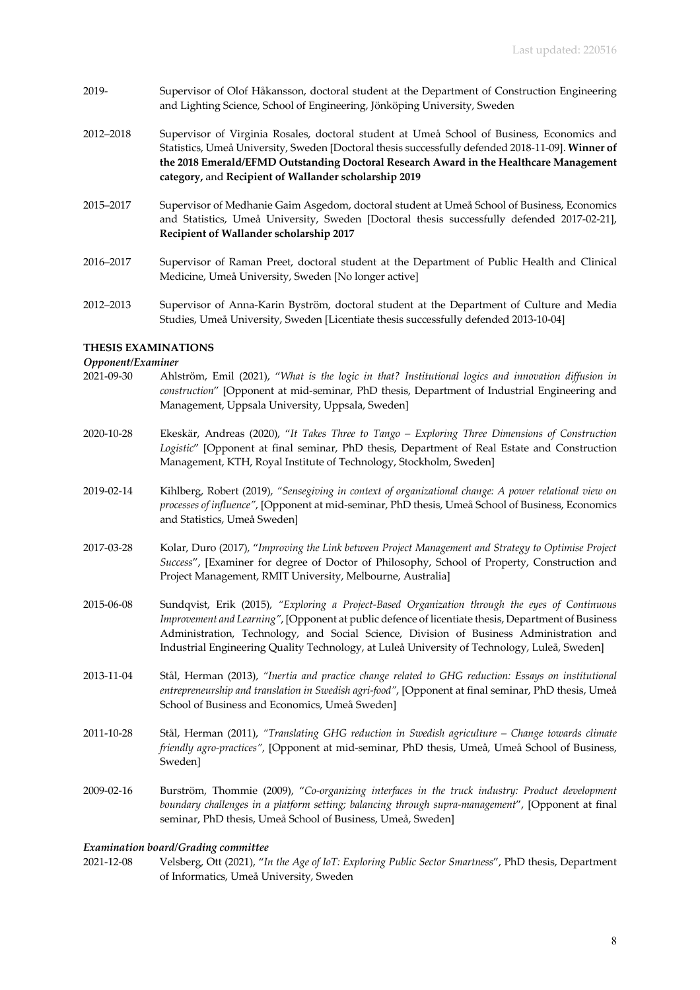- 2019- Supervisor of Olof Håkansson, doctoral student at the Department of Construction Engineering and Lighting Science, School of Engineering, Jönköping University, Sweden
- 2012–2018 Supervisor of Virginia Rosales, doctoral student at Umeå School of Business, Economics and Statistics, Umeå University, Sweden [Doctoral thesis successfully defended 2018-11-09]. **Winner of the 2018 Emerald/EFMD Outstanding Doctoral Research Award in the Healthcare Management category,** and **Recipient of Wallander scholarship 2019**
- 2015–2017 Supervisor of Medhanie Gaim Asgedom, doctoral student at Umeå School of Business, Economics and Statistics, Umeå University, Sweden [Doctoral thesis successfully defended 2017-02-21], **Recipient of Wallander scholarship 2017**
- 2016–2017 Supervisor of Raman Preet, doctoral student at the Department of Public Health and Clinical Medicine, Umeå University, Sweden [No longer active]
- 2012–2013 Supervisor of Anna-Karin Byström, doctoral student at the Department of Culture and Media Studies, Umeå University, Sweden [Licentiate thesis successfully defended 2013-10-04]

# **THESIS EXAMINATIONS**

# *Opponent/Examiner*

- 2021-09-30 Ahlström, Emil (2021), "*What is the logic in that? Institutional logics and innovation diffusion in construction*" [Opponent at mid-seminar, PhD thesis, Department of Industrial Engineering and Management, Uppsala University, Uppsala, Sweden]
- 2020-10-28 Ekeskär, Andreas (2020), "*It Takes Three to Tango – Exploring Three Dimensions of Construction Logistic*" [Opponent at final seminar, PhD thesis, Department of Real Estate and Construction Management, KTH, Royal Institute of Technology, Stockholm, Sweden]
- 2019-02-14 Kihlberg, Robert (2019), *"Sensegiving in context of organizational change: A power relational view on processes of influence"*, [Opponent at mid-seminar, PhD thesis, Umeå School of Business, Economics and Statistics, Umeå Sweden]
- 2017-03-28 Kolar, Duro (2017), "*Improving the Link between Project Management and Strategy to Optimise Project Success*", [Examiner for degree of Doctor of Philosophy, School of Property, Construction and Project Management, RMIT University, Melbourne, Australia]
- 2015-06-08 Sundqvist, Erik (2015), *"Exploring a Project-Based Organization through the eyes of Continuous Improvement and Learning"*, [Opponent at public defence of licentiate thesis, Department of Business Administration, Technology, and Social Science, Division of Business Administration and Industrial Engineering Quality Technology, at Luleå University of Technology, Luleå, Sweden]
- 2013-11-04 Stål, Herman (2013), *"Inertia and practice change related to GHG reduction: Essays on institutional entrepreneurship and translation in Swedish agri-food"*, [Opponent at final seminar, PhD thesis, Umeå School of Business and Economics, Umeå Sweden]
- 2011-10-28 Stål, Herman (2011), *"Translating GHG reduction in Swedish agriculture – Change towards climate friendly agro-practices"*, [Opponent at mid-seminar, PhD thesis, Umeå, Umeå School of Business, Sweden]
- 2009-02-16 Burström, Thommie (2009), "*Co-organizing interfaces in the truck industry: Product development boundary challenges in a platform setting; balancing through supra-management*", [Opponent at final seminar, PhD thesis, Umeå School of Business, Umeå, Sweden]

#### *Examination board/Grading committee*

2021-12-08 Velsberg, Ott (2021), "*In the Age of IoT: Exploring Public Sector Smartness*", PhD thesis, Department of Informatics, Umeå University, Sweden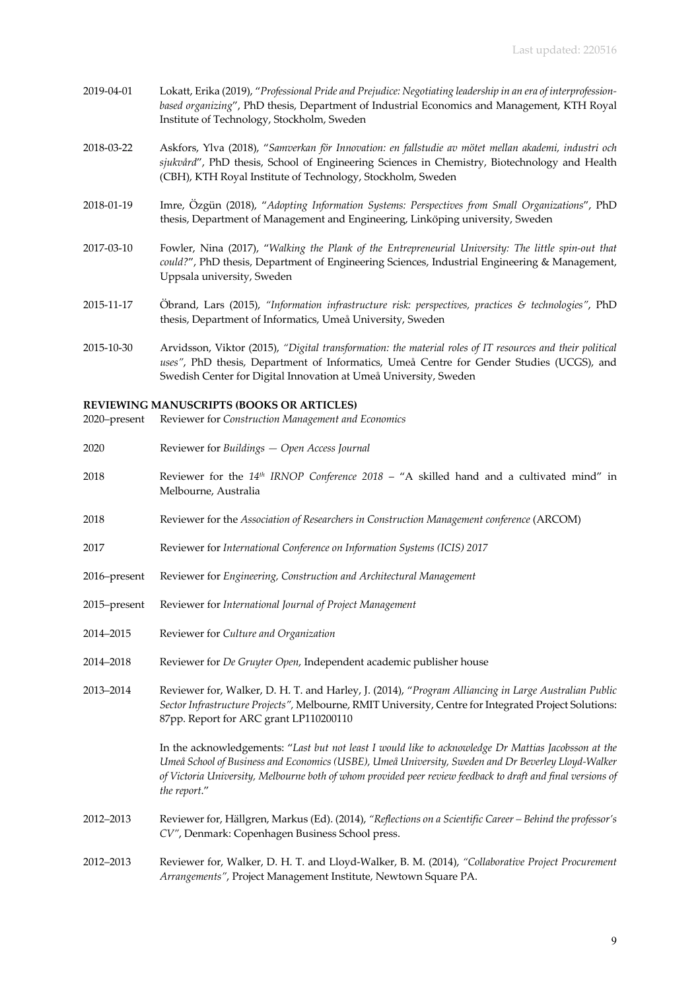- 2019-04-01 Lokatt, Erika (2019), "*Professional Pride and Prejudice: Negotiating leadership in an era of interprofessionbased organizing*", PhD thesis, Department of Industrial Economics and Management, KTH Royal Institute of Technology, Stockholm, Sweden
- 2018-03-22 Askfors, Ylva (2018), "*Samverkan för Innovation: en fallstudie av mötet mellan akademi, industri och sjukvård*", PhD thesis, School of Engineering Sciences in Chemistry, Biotechnology and Health (CBH), KTH Royal Institute of Technology, Stockholm, Sweden
- 2018-01-19 Imre, Özgün (2018), "*Adopting Information Systems: Perspectives from Small Organizations*", PhD thesis, Department of Management and Engineering, Linköping university, Sweden
- 2017-03-10 Fowler, Nina (2017), "*Walking the Plank of the Entrepreneurial University: The little spin-out that could?*", PhD thesis, Department of Engineering Sciences, Industrial Engineering & Management, Uppsala university, Sweden
- 2015-11-17 Öbrand, Lars (2015), *"Information infrastructure risk: perspectives, practices & technologies"*, PhD thesis, Department of Informatics, Umeå University, Sweden
- 2015-10-30 Arvidsson, Viktor (2015), *"Digital transformation: the material roles of IT resources and their political uses"*, PhD thesis, Department of Informatics, Umeå Centre for Gender Studies (UCGS), and Swedish Center for Digital Innovation at Umeå University, Sweden

#### **REVIEWING MANUSCRIPTS (BOOKS OR ARTICLES)**

- 2020–present Reviewer for *Construction Management and Economics*
- 2020 Reviewer for *Buildings — Open Access Journal*
- 2018 Reviewer for the *14th IRNOP Conference 2018* "A skilled hand and a cultivated mind" in Melbourne, Australia
- 2018 Reviewer for the *Association of Researchers in Construction Management conference* (ARCOM)
- 2017 Reviewer for *International Conference on Information Systems (ICIS) 2017*
- 2016–present Reviewer for *Engineering, Construction and Architectural Management*
- 2015–present Reviewer for *International Journal of Project Management*
- 2014–2015 Reviewer for *Culture and Organization*
- 2014–2018 Reviewer for *De Gruyter Open*, Independent academic publisher house
- 2013–2014 Reviewer for, Walker, D. H. T. and Harley, J. (2014), "*Program Alliancing in Large Australian Public Sector Infrastructure Projects",* Melbourne, RMIT University, Centre for Integrated Project Solutions: 87pp. Report for ARC grant LP110200110

In the acknowledgements: "*Last but not least I would like to acknowledge Dr Mattias Jacobsson at the Umeå School of Business and Economics (USBE), Umeå University, Sweden and Dr Beverley Lloyd-Walker of Victoria University, Melbourne both of whom provided peer review feedback to draft and final versions of the report*."

- 2012–2013 Reviewer for, Hällgren, Markus (Ed). (2014), *"Reflections on a Scientific Career – Behind the professor's CV"*, Denmark: Copenhagen Business School press.
- 2012–2013 Reviewer for, Walker, D. H. T. and Lloyd-Walker, B. M. (2014), *"Collaborative Project Procurement Arrangements"*, Project Management Institute, Newtown Square PA.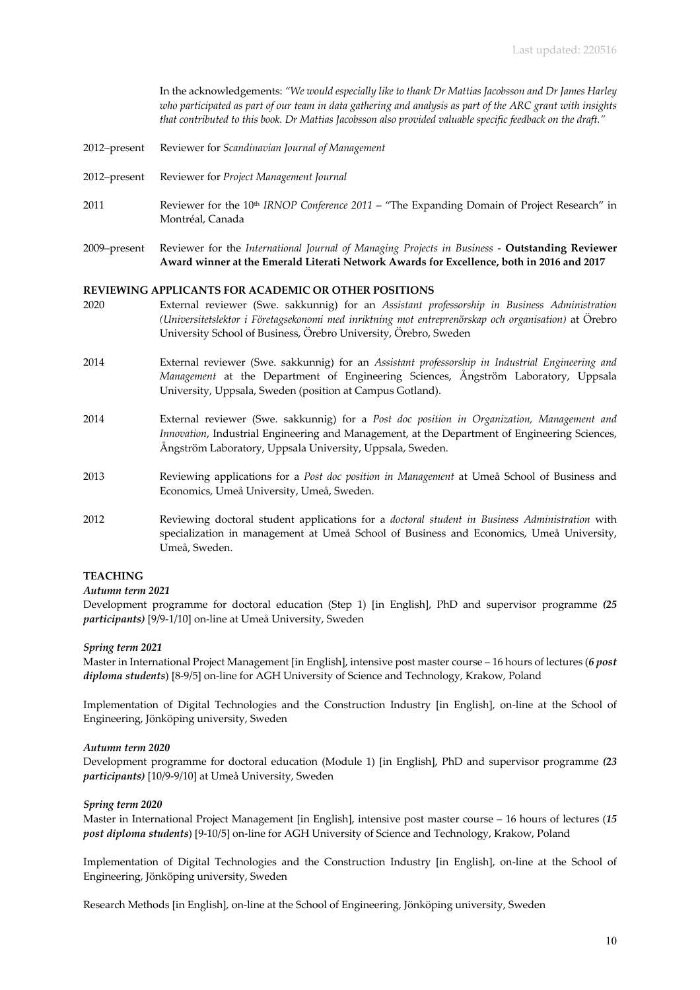In the acknowledgements: *"We would especially like to thank Dr Mattias Jacobsson and Dr James Harley who participated as part of our team in data gathering and analysis as part of the ARC grant with insights that contributed to this book. Dr Mattias Jacobsson also provided valuable specific feedback on the draft."*

- 2012–present Reviewer for *Scandinavian Journal of Management*
- 2012–present Reviewer for *Project Management Journal*
- 2011 Reviewer for the 10th *IRNOP Conference 2011* "The Expanding Domain of Project Research" in Montréal, Canada
- 2009–present Reviewer for the *International Journal of Managing Projects in Business* **Outstanding Reviewer Award winner at the Emerald Literati Network Awards for Excellence, both in 2016 and 2017**

### **REVIEWING APPLICANTS FOR ACADEMIC OR OTHER POSITIONS**

- 2020 External reviewer (Swe. sakkunnig) for an *Assistant professorship in Business Administration (Universitetslektor i Företagsekonomi med inriktning mot entreprenörskap och organisation)* at Örebro University School of Business, Örebro University, Örebro, Sweden
- 2014 External reviewer (Swe. sakkunnig) for an *Assistant professorship in Industrial Engineering and Management* at the Department of Engineering Sciences, Ångström Laboratory, Uppsala University, Uppsala, Sweden (position at Campus Gotland).
- 2014 External reviewer (Swe. sakkunnig) for a *Post doc position in Organization, Management and Innovation*, Industrial Engineering and Management, at the Department of Engineering Sciences, Ångström Laboratory, Uppsala University, Uppsala, Sweden.
- 2013 Reviewing applications for a *Post doc position in Management* at Umeå School of Business and Economics, Umeå University, Umeå, Sweden.
- 2012 Reviewing doctoral student applications for a *doctoral student in Business Administration* with specialization in management at Umeå School of Business and Economics, Umeå University, Umeå, Sweden.

# **TEACHING**

# *Autumn term 2021*

Development programme for doctoral education (Step 1) [in English], PhD and supervisor programme *(25 participants)* [9/9-1/10] on-line at Umeå University, Sweden

#### *Spring term 2021*

Master in International Project Management [in English], intensive post master course – 16 hours of lectures (*6 post diploma students*) [8-9/5] on-line for AGH University of Science and Technology, Krakow, Poland

Implementation of Digital Technologies and the Construction Industry [in English], on-line at the School of Engineering, Jönköping university, Sweden

#### *Autumn term 2020*

Development programme for doctoral education (Module 1) [in English], PhD and supervisor programme *(23 participants)* [10/9-9/10] at Umeå University, Sweden

#### *Spring term 2020*

Master in International Project Management [in English], intensive post master course – 16 hours of lectures (*15 post diploma students*) [9-10/5] on-line for AGH University of Science and Technology, Krakow, Poland

Implementation of Digital Technologies and the Construction Industry [in English], on-line at the School of Engineering, Jönköping university, Sweden

Research Methods [in English], on-line at the School of Engineering, Jönköping university, Sweden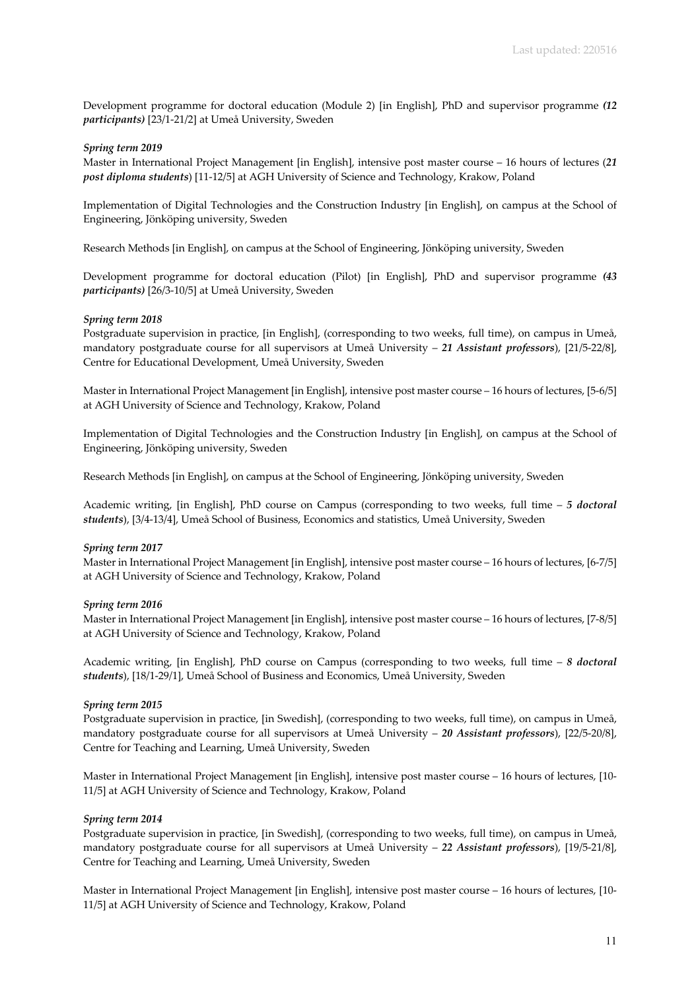Development programme for doctoral education (Module 2) [in English], PhD and supervisor programme *(12 participants)* [23/1-21/2] at Umeå University, Sweden

### *Spring term 2019*

Master in International Project Management [in English], intensive post master course – 16 hours of lectures (*21 post diploma students*) [11-12/5] at AGH University of Science and Technology, Krakow, Poland

Implementation of Digital Technologies and the Construction Industry [in English], on campus at the School of Engineering, Jönköping university, Sweden

Research Methods [in English], on campus at the School of Engineering, Jönköping university, Sweden

Development programme for doctoral education (Pilot) [in English], PhD and supervisor programme *(43 participants)* [26/3-10/5] at Umeå University, Sweden

### *Spring term 2018*

Postgraduate supervision in practice, [in English], (corresponding to two weeks, full time), on campus in Umeå, mandatory postgraduate course for all supervisors at Umeå University – *21 Assistant professors*), [21/5-22/8], Centre for Educational Development, Umeå University, Sweden

Master in International Project Management [in English], intensive post master course – 16 hours of lectures, [5-6/5] at AGH University of Science and Technology, Krakow, Poland

Implementation of Digital Technologies and the Construction Industry [in English], on campus at the School of Engineering, Jönköping university, Sweden

Research Methods [in English], on campus at the School of Engineering, Jönköping university, Sweden

Academic writing, [in English], PhD course on Campus (corresponding to two weeks, full time – *5 doctoral students*), [3/4-13/4], Umeå School of Business, Economics and statistics, Umeå University, Sweden

#### *Spring term 2017*

Master in International Project Management [in English], intensive post master course – 16 hours of lectures, [6-7/5] at AGH University of Science and Technology, Krakow, Poland

#### *Spring term 2016*

Master in International Project Management [in English], intensive post master course – 16 hours of lectures, [7-8/5] at AGH University of Science and Technology, Krakow, Poland

Academic writing, [in English], PhD course on Campus (corresponding to two weeks, full time – *8 doctoral students*), [18/1-29/1], Umeå School of Business and Economics, Umeå University, Sweden

#### *Spring term 2015*

Postgraduate supervision in practice, [in Swedish], (corresponding to two weeks, full time), on campus in Umeå, mandatory postgraduate course for all supervisors at Umeå University – *20 Assistant professors*), [22/5-20/8], Centre for Teaching and Learning, Umeå University, Sweden

Master in International Project Management [in English], intensive post master course – 16 hours of lectures, [10- 11/5] at AGH University of Science and Technology, Krakow, Poland

#### *Spring term 2014*

Postgraduate supervision in practice, [in Swedish], (corresponding to two weeks, full time), on campus in Umeå, mandatory postgraduate course for all supervisors at Umeå University – *22 Assistant professors*), [19/5-21/8], Centre for Teaching and Learning, Umeå University, Sweden

Master in International Project Management [in English], intensive post master course – 16 hours of lectures, [10- 11/5] at AGH University of Science and Technology, Krakow, Poland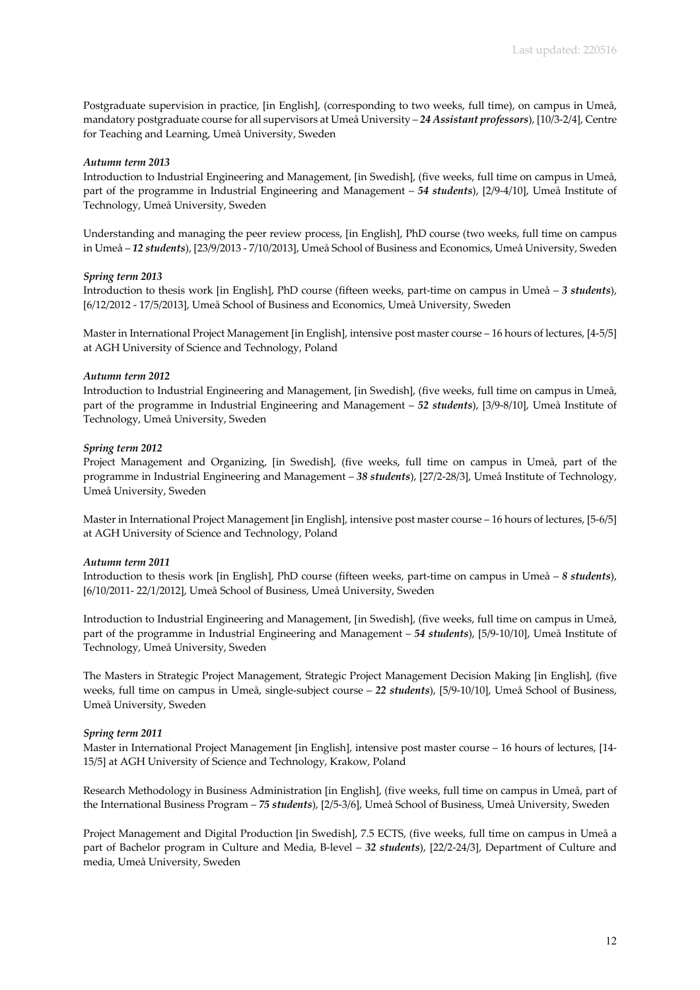Postgraduate supervision in practice, [in English], (corresponding to two weeks, full time), on campus in Umeå, mandatory postgraduate course for all supervisors at Umeå University – *24 Assistant professors*), [10/3-2/4], Centre for Teaching and Learning, Umeå University, Sweden

## *Autumn term 2013*

Introduction to Industrial Engineering and Management, [in Swedish], (five weeks, full time on campus in Umeå, part of the programme in Industrial Engineering and Management – *54 students*), [2/9-4/10], Umeå Institute of Technology, Umeå University, Sweden

Understanding and managing the peer review process, [in English], PhD course (two weeks, full time on campus in Umeå – *12 students*), [23/9/2013 - 7/10/2013], Umeå School of Business and Economics, Umeå University, Sweden

#### *Spring term 2013*

Introduction to thesis work [in English], PhD course (fifteen weeks, part-time on campus in Umeå – *3 students*), [6/12/2012 - 17/5/2013], Umeå School of Business and Economics, Umeå University, Sweden

Master in International Project Management [in English], intensive post master course – 16 hours of lectures, [4-5/5] at AGH University of Science and Technology, Poland

### *Autumn term 2012*

Introduction to Industrial Engineering and Management, [in Swedish], (five weeks, full time on campus in Umeå, part of the programme in Industrial Engineering and Management – *52 students*), [3/9-8/10], Umeå Institute of Technology, Umeå University, Sweden

### *Spring term 2012*

Project Management and Organizing, [in Swedish], (five weeks, full time on campus in Umeå, part of the programme in Industrial Engineering and Management – *38 students*), [27/2-28/3], Umeå Institute of Technology, Umeå University, Sweden

Master in International Project Management [in English], intensive post master course – 16 hours of lectures, [5-6/5] at AGH University of Science and Technology, Poland

#### *Autumn term 2011*

Introduction to thesis work [in English], PhD course (fifteen weeks, part-time on campus in Umeå – *8 students*), [6/10/2011- 22/1/2012], Umeå School of Business, Umeå University, Sweden

Introduction to Industrial Engineering and Management, [in Swedish], (five weeks, full time on campus in Umeå, part of the programme in Industrial Engineering and Management – *54 students*), [5/9-10/10], Umeå Institute of Technology, Umeå University, Sweden

The Masters in Strategic Project Management, Strategic Project Management Decision Making [in English], (five weeks, full time on campus in Umeå, single-subject course – *22 students*), [5/9-10/10], Umeå School of Business, Umeå University, Sweden

#### *Spring term 2011*

Master in International Project Management [in English], intensive post master course – 16 hours of lectures, [14- 15/5] at AGH University of Science and Technology, Krakow, Poland

Research Methodology in Business Administration [in English], (five weeks, full time on campus in Umeå, part of the International Business Program – *75 students*), [2/5-3/6], Umeå School of Business, Umeå University, Sweden

Project Management and Digital Production [in Swedish], 7.5 ECTS, (five weeks, full time on campus in Umeå a part of Bachelor program in Culture and Media, B-level – *32 students*), [22/2-24/3], Department of Culture and media, Umeå University, Sweden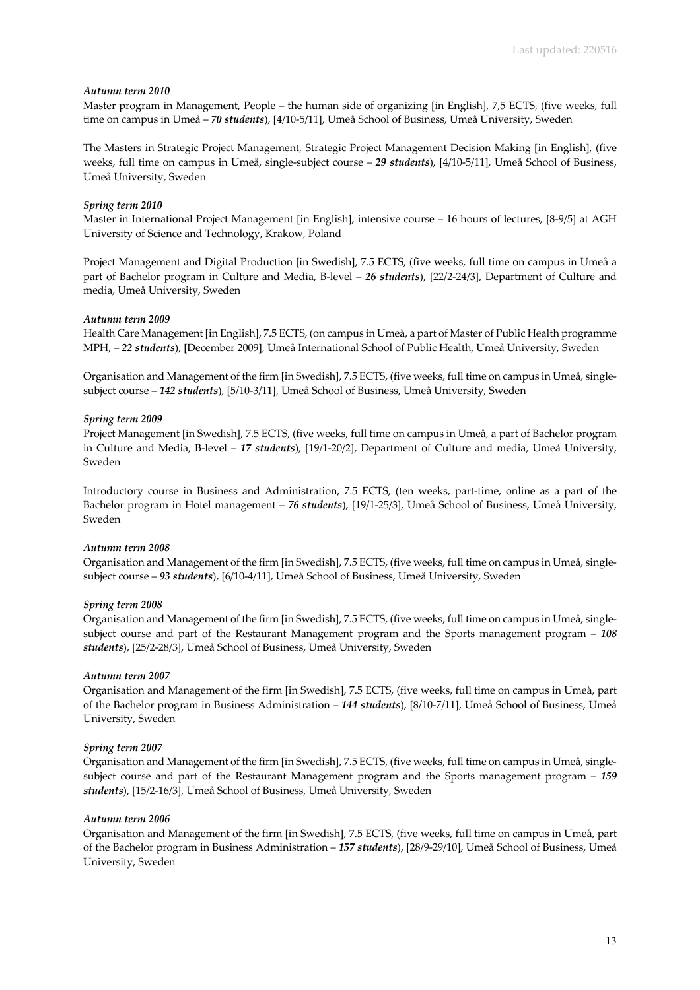### *Autumn term 2010*

Master program in Management, People – the human side of organizing [in English], 7,5 ECTS, (five weeks, full time on campus in Umeå – *70 students*), [4/10-5/11], Umeå School of Business, Umeå University, Sweden

The Masters in Strategic Project Management, Strategic Project Management Decision Making [in English], (five weeks, full time on campus in Umeå, single-subject course – *29 students*), [4/10-5/11], Umeå School of Business, Umeå University, Sweden

## *Spring term 2010*

Master in International Project Management [in English], intensive course – 16 hours of lectures, [8-9/5] at AGH University of Science and Technology, Krakow, Poland

Project Management and Digital Production [in Swedish], 7.5 ECTS, (five weeks, full time on campus in Umeå a part of Bachelor program in Culture and Media, B-level – *26 students*), [22/2-24/3], Department of Culture and media, Umeå University, Sweden

### *Autumn term 2009*

Health Care Management [in English], 7.5 ECTS, (on campus in Umeå, a part of Master of Public Health programme MPH, – *22 students*), [December 2009], Umeå International School of Public Health, Umeå University, Sweden

Organisation and Management of the firm [in Swedish], 7.5 ECTS, (five weeks, full time on campus in Umeå, singlesubject course – *142 students*), [5/10-3/11], Umeå School of Business, Umeå University, Sweden

## *Spring term 2009*

Project Management [in Swedish], 7.5 ECTS, (five weeks, full time on campus in Umeå, a part of Bachelor program in Culture and Media, B-level – *17 students*), [19/1-20/2], Department of Culture and media, Umeå University, Sweden

Introductory course in Business and Administration, 7.5 ECTS, (ten weeks, part-time, online as a part of the Bachelor program in Hotel management – *76 students*), [19/1-25/3], Umeå School of Business, Umeå University, Sweden

#### *Autumn term 2008*

Organisation and Management of the firm [in Swedish], 7.5 ECTS, (five weeks, full time on campus in Umeå, singlesubject course – *93 students*), [6/10-4/11], Umeå School of Business, Umeå University, Sweden

#### *Spring term 2008*

Organisation and Management of the firm [in Swedish], 7.5 ECTS, (five weeks, full time on campus in Umeå, singlesubject course and part of the Restaurant Management program and the Sports management program – *108 students*), [25/2-28/3], Umeå School of Business, Umeå University, Sweden

#### *Autumn term 2007*

Organisation and Management of the firm [in Swedish], 7.5 ECTS, (five weeks, full time on campus in Umeå, part of the Bachelor program in Business Administration – *144 students*), [8/10-7/11], Umeå School of Business, Umeå University, Sweden

#### *Spring term 2007*

Organisation and Management of the firm [in Swedish], 7.5 ECTS, (five weeks, full time on campus in Umeå, singlesubject course and part of the Restaurant Management program and the Sports management program – *159 students*), [15/2-16/3], Umeå School of Business, Umeå University, Sweden

#### *Autumn term 2006*

Organisation and Management of the firm [in Swedish], 7.5 ECTS, (five weeks, full time on campus in Umeå, part of the Bachelor program in Business Administration – *157 students*), [28/9-29/10], Umeå School of Business, Umeå University, Sweden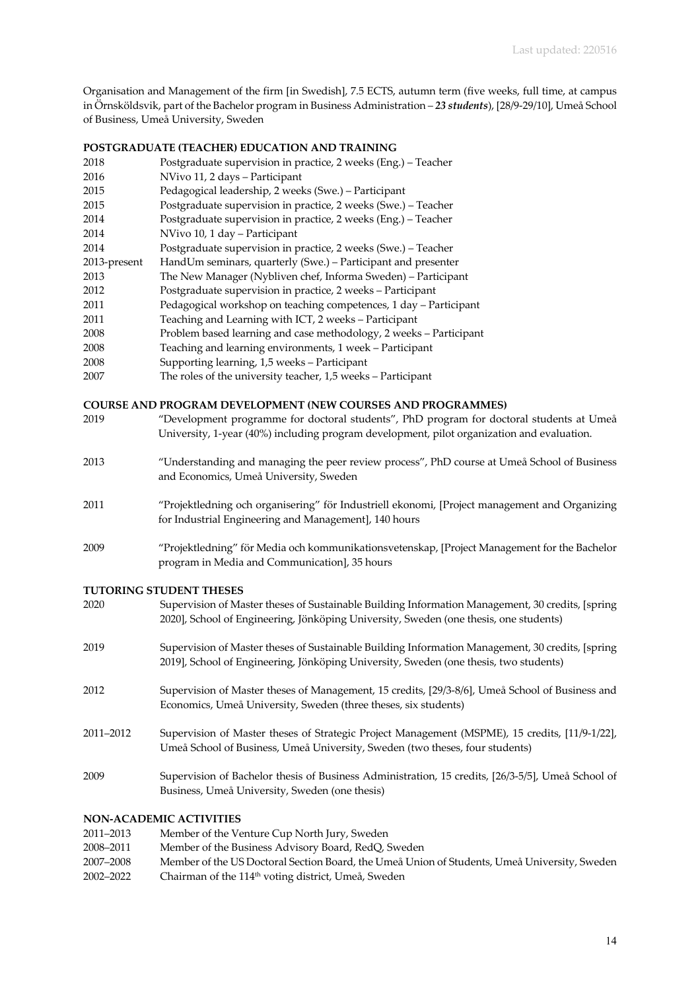Organisation and Management of the firm [in Swedish], 7.5 ECTS, autumn term (five weeks, full time, at campus in Örnsköldsvik, part of the Bachelor program in Business Administration – *23 students*), [28/9-29/10], Umeå School of Business, Umeå University, Sweden

# **POSTGRADUATE (TEACHER) EDUCATION AND TRAINING**

- 2018 Postgraduate supervision in practice, 2 weeks (Eng.) Teacher 2016 NVivo 11, 2 days – Participant 2015 Pedagogical leadership, 2 weeks (Swe.) – Participant 2015 Postgraduate supervision in practice, 2 weeks (Swe.) – Teacher 2014 Postgraduate supervision in practice, 2 weeks (Eng.) – Teacher 2014 NVivo 10, 1 day – Participant 2014 Postgraduate supervision in practice, 2 weeks (Swe.) – Teacher 2013-present HandUm seminars, quarterly (Swe.) – Participant and presenter 2013 The New Manager (Nybliven chef, Informa Sweden) – Participant 2012 Postgraduate supervision in practice, 2 weeks – Participant 2011 Pedagogical workshop on teaching competences, 1 day – Participant 2011 Teaching and Learning with ICT, 2 weeks – Participant 2008 Problem based learning and case methodology, 2 weeks – Participant 2008 Teaching and learning environments, 1 week – Participant 2008 Supporting learning, 1,5 weeks – Participant
- 2007 The roles of the university teacher, 1,5 weeks Participant

# **COURSE AND PROGRAM DEVELOPMENT (NEW COURSES AND PROGRAMMES)**

| 2019 | "Development programme for doctoral students", PhD program for doctoral students at Umeå<br>University, 1-year (40%) including program development, pilot organization and evaluation. |
|------|----------------------------------------------------------------------------------------------------------------------------------------------------------------------------------------|
| 2013 | "Understanding and managing the peer review process", PhD course at Umeå School of Business<br>and Economics, Umeå University, Sweden                                                  |
| 2011 | "Projektledning och organisering" för Industriell ekonomi, [Project management and Organizing<br>for Industrial Engineering and Management, 140 hours                                  |
| 2009 | "Projektledning" för Media och kommunikationsvetenskap, [Project Management for the Bachelor<br>program in Media and Communication], 35 hours                                          |

#### **TUTORING STUDENT THESES**

| 2020      | Supervision of Master theses of Sustainable Building Information Management, 30 credits, [spring]<br>2020], School of Engineering, Jönköping University, Sweden (one thesis, one students) |
|-----------|--------------------------------------------------------------------------------------------------------------------------------------------------------------------------------------------|
| 2019      | Supervision of Master theses of Sustainable Building Information Management, 30 credits, [spring]<br>2019], School of Engineering, Jönköping University, Sweden (one thesis, two students) |
| 2012      | Supervision of Master theses of Management, 15 credits, [29/3-8/6], Umeå School of Business and<br>Economics, Umeå University, Sweden (three theses, six students)                         |
| 2011-2012 | Supervision of Master theses of Strategic Project Management (MSPME), 15 credits, [11/9-1/22],<br>Umeå School of Business, Umeå University, Sweden (two theses, four students)             |
| 2009      | Supervision of Bachelor thesis of Business Administration, 15 credits, [26/3-5/5], Umeå School of<br>Business, Umeå University, Sweden (one thesis)                                        |

# **NON-ACADEMIC ACTIVITIES**

| 2011–2013 | Member of the Venture Cup North Jury, Sweden                                                 |
|-----------|----------------------------------------------------------------------------------------------|
| 2008–2011 | Member of the Business Advisory Board, RedQ, Sweden                                          |
| 2007–2008 | Member of the US Doctoral Section Board, the Umeå Union of Students, Umeå University, Sweden |
| 2002–2022 | Chairman of the 114 <sup>th</sup> voting district, Umeå, Sweden                              |